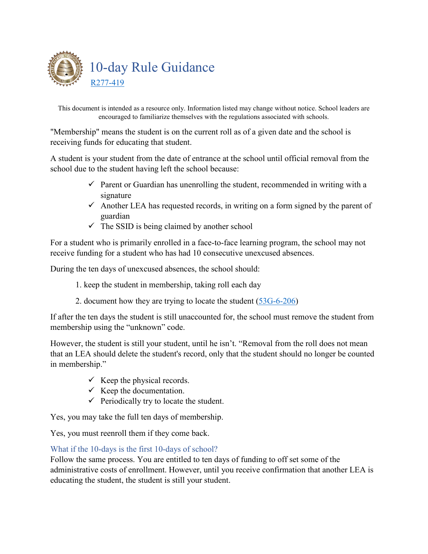

This document is intended as a resource only. Information listed may change without notice. School leaders are encouraged to familiarize themselves with the regulations associated with schools.

"Membership" means the student is on the current roll as of a given date and the school is receiving funds for educating that student.

A student is your student from the date of entrance at the school until official removal from the school due to the student having left the school because:

- $\checkmark$  Parent or Guardian has unenrolling the student, recommended in writing with a signature
- $\checkmark$  Another LEA has requested records, in writing on a form signed by the parent of guardian
- $\checkmark$  The SSID is being claimed by another school

For a student who is primarily enrolled in a face-to-face learning program, the school may not receive funding for a student who has had 10 consecutive unexcused absences.

During the ten days of unexcused absences, the school should:

- 1. keep the student in membership, taking roll each day
- 2. document how they are trying to locate the student [\(53G-6-206\)](https://le.utah.gov/xcode/Title53G/Chapter6/53G-6-S206.html)

If after the ten days the student is still unaccounted for, the school must remove the student from membership using the "unknown" code.

However, the student is still your student, until he isn't. "Removal from the roll does not mean that an LEA should delete the student's record, only that the student should no longer be counted in membership."

- $\checkmark$  Keep the physical records.
- $\checkmark$  Keep the documentation.
- $\checkmark$  Periodically try to locate the student.

Yes, you may take the full ten days of membership.

Yes, you must reenroll them if they come back.

## What if the 10-days is the first 10-days of school?

Follow the same process. You are entitled to ten days of funding to off set some of the administrative costs of enrollment. However, until you receive confirmation that another LEA is educating the student, the student is still your student.